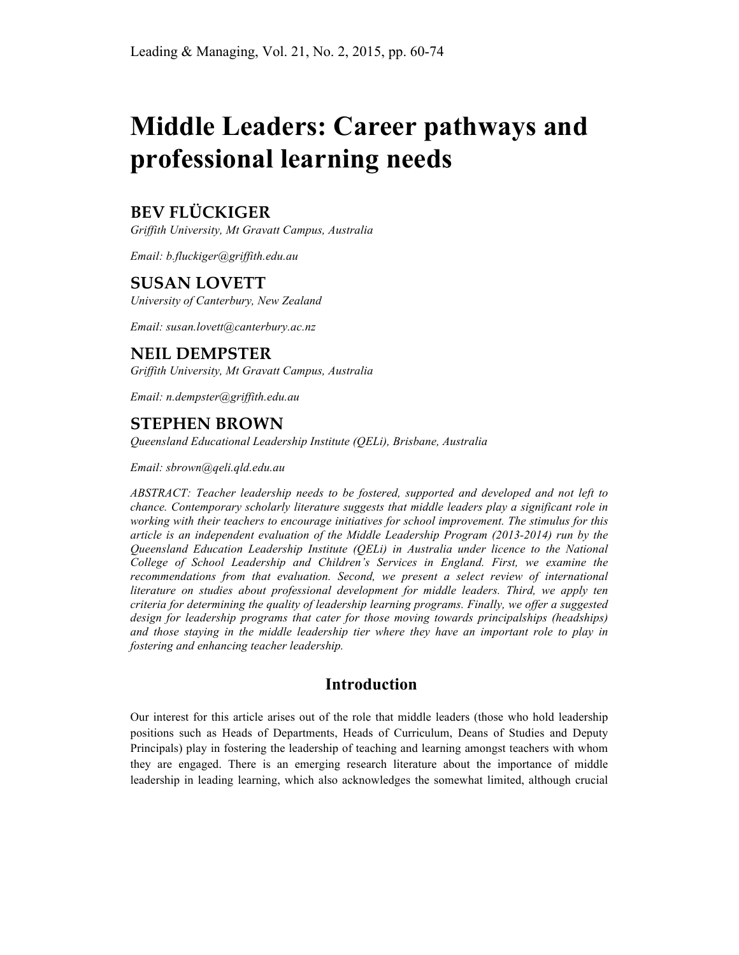# **Middle Leaders: Career pathways and professional learning needs**

# **BEV FLÜCKIGER**

*Griffith University, Mt Gravatt Campus, Australia*

*Email: b.fluckiger@griffith.edu.au*

# **SUSAN LOVETT**

*University of Canterbury, New Zealand*

*Email: susan.lovett@canterbury.ac.nz*

# **NEIL DEMPSTER**

*Griffith University, Mt Gravatt Campus, Australia*

*Email: n.dempster@griffith.edu.au* 

# **STEPHEN BROWN**

*Queensland Educational Leadership Institute (QELi), Brisbane, Australia*

*Email: sbrown@qeli.qld.edu.au*

*ABSTRACT: Teacher leadership needs to be fostered, supported and developed and not left to chance. Contemporary scholarly literature suggests that middle leaders play a significant role in working with their teachers to encourage initiatives for school improvement. The stimulus for this article is an independent evaluation of the Middle Leadership Program (2013-2014) run by the Queensland Education Leadership Institute (QELi) in Australia under licence to the National College of School Leadership and Children's Services in England. First, we examine the recommendations from that evaluation. Second, we present a select review of international literature on studies about professional development for middle leaders. Third, we apply ten criteria for determining the quality of leadership learning programs. Finally, we offer a suggested design for leadership programs that cater for those moving towards principalships (headships) and those staying in the middle leadership tier where they have an important role to play in fostering and enhancing teacher leadership.* 

# **Introduction**

Our interest for this article arises out of the role that middle leaders (those who hold leadership positions such as Heads of Departments, Heads of Curriculum, Deans of Studies and Deputy Principals) play in fostering the leadership of teaching and learning amongst teachers with whom they are engaged. There is an emerging research literature about the importance of middle leadership in leading learning, which also acknowledges the somewhat limited, although crucial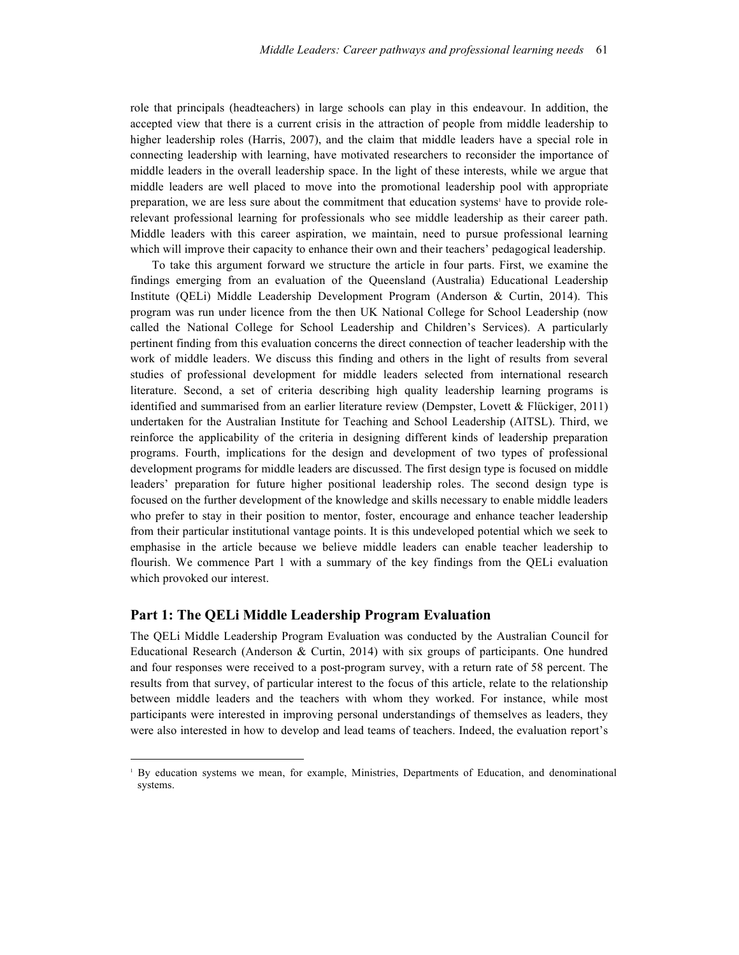role that principals (headteachers) in large schools can play in this endeavour. In addition, the accepted view that there is a current crisis in the attraction of people from middle leadership to higher leadership roles (Harris, 2007), and the claim that middle leaders have a special role in connecting leadership with learning, have motivated researchers to reconsider the importance of middle leaders in the overall leadership space. In the light of these interests, while we argue that middle leaders are well placed to move into the promotional leadership pool with appropriate preparation, we are less sure about the commitment that education systems<sup>1</sup> have to provide rolerelevant professional learning for professionals who see middle leadership as their career path. Middle leaders with this career aspiration, we maintain, need to pursue professional learning which will improve their capacity to enhance their own and their teachers' pedagogical leadership.

To take this argument forward we structure the article in four parts. First, we examine the findings emerging from an evaluation of the Queensland (Australia) Educational Leadership Institute (QELi) Middle Leadership Development Program (Anderson & Curtin, 2014). This program was run under licence from the then UK National College for School Leadership (now called the National College for School Leadership and Children's Services). A particularly pertinent finding from this evaluation concerns the direct connection of teacher leadership with the work of middle leaders. We discuss this finding and others in the light of results from several studies of professional development for middle leaders selected from international research literature. Second, a set of criteria describing high quality leadership learning programs is identified and summarised from an earlier literature review (Dempster, Lovett & Flückiger, 2011) undertaken for the Australian Institute for Teaching and School Leadership (AITSL). Third, we reinforce the applicability of the criteria in designing different kinds of leadership preparation programs. Fourth, implications for the design and development of two types of professional development programs for middle leaders are discussed. The first design type is focused on middle leaders' preparation for future higher positional leadership roles. The second design type is focused on the further development of the knowledge and skills necessary to enable middle leaders who prefer to stay in their position to mentor, foster, encourage and enhance teacher leadership from their particular institutional vantage points. It is this undeveloped potential which we seek to emphasise in the article because we believe middle leaders can enable teacher leadership to flourish. We commence Part 1 with a summary of the key findings from the QELi evaluation which provoked our interest.

#### **Part 1: The QELi Middle Leadership Program Evaluation**

 $\overline{a}$ 

The QELi Middle Leadership Program Evaluation was conducted by the Australian Council for Educational Research (Anderson & Curtin, 2014) with six groups of participants. One hundred and four responses were received to a post-program survey, with a return rate of 58 percent. The results from that survey, of particular interest to the focus of this article, relate to the relationship between middle leaders and the teachers with whom they worked. For instance, while most participants were interested in improving personal understandings of themselves as leaders, they were also interested in how to develop and lead teams of teachers. Indeed, the evaluation report's

<sup>1</sup> By education systems we mean, for example, Ministries, Departments of Education, and denominational systems.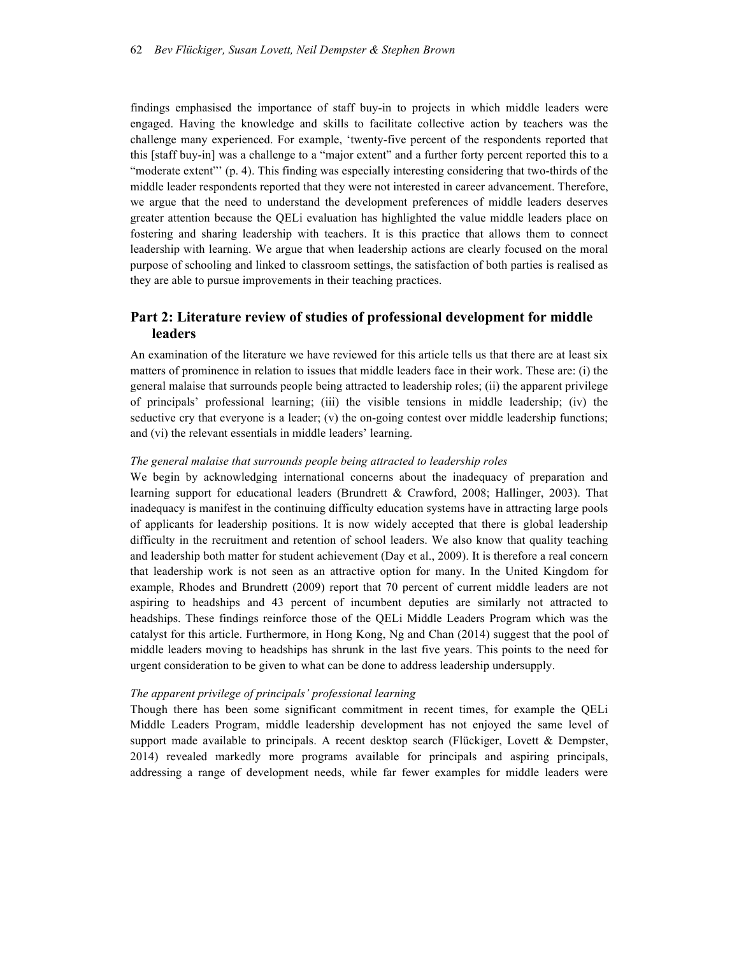findings emphasised the importance of staff buy-in to projects in which middle leaders were engaged. Having the knowledge and skills to facilitate collective action by teachers was the challenge many experienced. For example, 'twenty-five percent of the respondents reported that this [staff buy-in] was a challenge to a "major extent" and a further forty percent reported this to a "moderate extent"' (p. 4). This finding was especially interesting considering that two-thirds of the middle leader respondents reported that they were not interested in career advancement. Therefore, we argue that the need to understand the development preferences of middle leaders deserves greater attention because the QELi evaluation has highlighted the value middle leaders place on fostering and sharing leadership with teachers. It is this practice that allows them to connect leadership with learning. We argue that when leadership actions are clearly focused on the moral purpose of schooling and linked to classroom settings, the satisfaction of both parties is realised as they are able to pursue improvements in their teaching practices.

#### **Part 2: Literature review of studies of professional development for middle leaders**

An examination of the literature we have reviewed for this article tells us that there are at least six matters of prominence in relation to issues that middle leaders face in their work. These are: (i) the general malaise that surrounds people being attracted to leadership roles; (ii) the apparent privilege of principals' professional learning; (iii) the visible tensions in middle leadership; (iv) the seductive cry that everyone is a leader;  $(v)$  the on-going contest over middle leadership functions; and (vi) the relevant essentials in middle leaders' learning.

#### *The general malaise that surrounds people being attracted to leadership roles*

We begin by acknowledging international concerns about the inadequacy of preparation and learning support for educational leaders (Brundrett & Crawford, 2008; Hallinger, 2003). That inadequacy is manifest in the continuing difficulty education systems have in attracting large pools of applicants for leadership positions. It is now widely accepted that there is global leadership difficulty in the recruitment and retention of school leaders. We also know that quality teaching and leadership both matter for student achievement (Day et al., 2009). It is therefore a real concern that leadership work is not seen as an attractive option for many. In the United Kingdom for example, Rhodes and Brundrett (2009) report that 70 percent of current middle leaders are not aspiring to headships and 43 percent of incumbent deputies are similarly not attracted to headships. These findings reinforce those of the QELi Middle Leaders Program which was the catalyst for this article. Furthermore, in Hong Kong, Ng and Chan (2014) suggest that the pool of middle leaders moving to headships has shrunk in the last five years. This points to the need for urgent consideration to be given to what can be done to address leadership undersupply.

#### *The apparent privilege of principals' professional learning*

Though there has been some significant commitment in recent times, for example the QELi Middle Leaders Program, middle leadership development has not enjoyed the same level of support made available to principals. A recent desktop search (Flückiger, Lovett & Dempster, 2014) revealed markedly more programs available for principals and aspiring principals, addressing a range of development needs, while far fewer examples for middle leaders were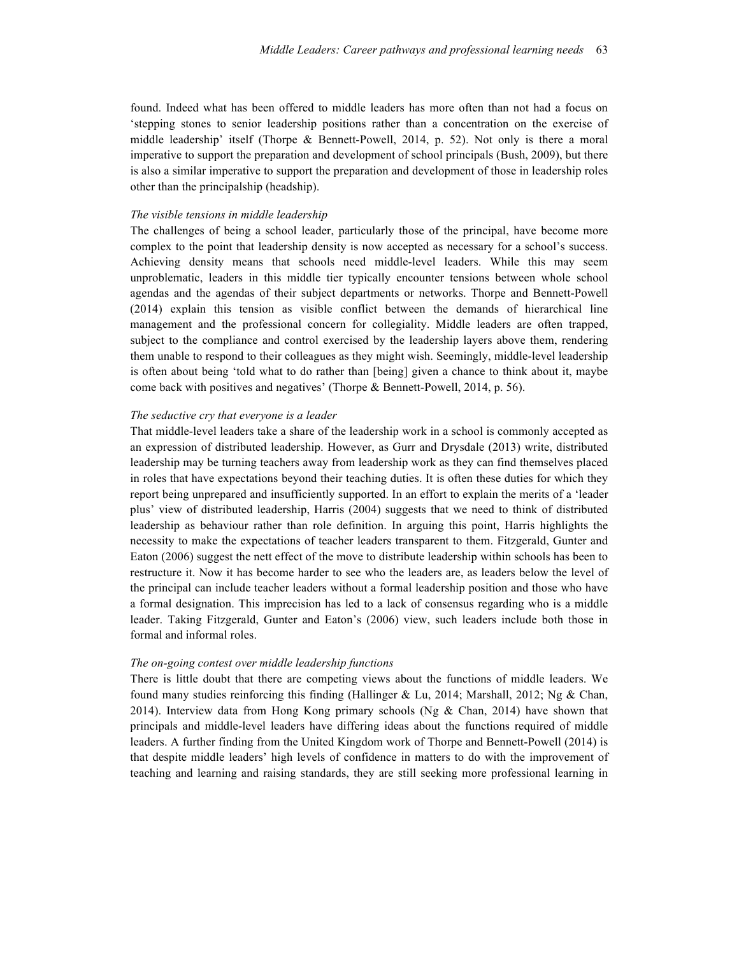found. Indeed what has been offered to middle leaders has more often than not had a focus on 'stepping stones to senior leadership positions rather than a concentration on the exercise of middle leadership' itself (Thorpe & Bennett-Powell, 2014, p. 52). Not only is there a moral imperative to support the preparation and development of school principals (Bush, 2009), but there is also a similar imperative to support the preparation and development of those in leadership roles other than the principalship (headship).

#### *The visible tensions in middle leadership*

The challenges of being a school leader, particularly those of the principal, have become more complex to the point that leadership density is now accepted as necessary for a school's success. Achieving density means that schools need middle-level leaders. While this may seem unproblematic, leaders in this middle tier typically encounter tensions between whole school agendas and the agendas of their subject departments or networks. Thorpe and Bennett-Powell (2014) explain this tension as visible conflict between the demands of hierarchical line management and the professional concern for collegiality. Middle leaders are often trapped, subject to the compliance and control exercised by the leadership layers above them, rendering them unable to respond to their colleagues as they might wish. Seemingly, middle-level leadership is often about being 'told what to do rather than [being] given a chance to think about it, maybe come back with positives and negatives' (Thorpe & Bennett-Powell, 2014, p. 56).

#### *The seductive cry that everyone is a leader*

That middle-level leaders take a share of the leadership work in a school is commonly accepted as an expression of distributed leadership. However, as Gurr and Drysdale (2013) write, distributed leadership may be turning teachers away from leadership work as they can find themselves placed in roles that have expectations beyond their teaching duties. It is often these duties for which they report being unprepared and insufficiently supported. In an effort to explain the merits of a 'leader plus' view of distributed leadership, Harris (2004) suggests that we need to think of distributed leadership as behaviour rather than role definition. In arguing this point, Harris highlights the necessity to make the expectations of teacher leaders transparent to them. Fitzgerald, Gunter and Eaton (2006) suggest the nett effect of the move to distribute leadership within schools has been to restructure it. Now it has become harder to see who the leaders are, as leaders below the level of the principal can include teacher leaders without a formal leadership position and those who have a formal designation. This imprecision has led to a lack of consensus regarding who is a middle leader. Taking Fitzgerald, Gunter and Eaton's (2006) view, such leaders include both those in formal and informal roles.

#### *The on-going contest over middle leadership functions*

There is little doubt that there are competing views about the functions of middle leaders. We found many studies reinforcing this finding (Hallinger & Lu, 2014; Marshall, 2012; Ng & Chan, 2014). Interview data from Hong Kong primary schools (Ng  $\&$  Chan, 2014) have shown that principals and middle-level leaders have differing ideas about the functions required of middle leaders. A further finding from the United Kingdom work of Thorpe and Bennett-Powell (2014) is that despite middle leaders' high levels of confidence in matters to do with the improvement of teaching and learning and raising standards, they are still seeking more professional learning in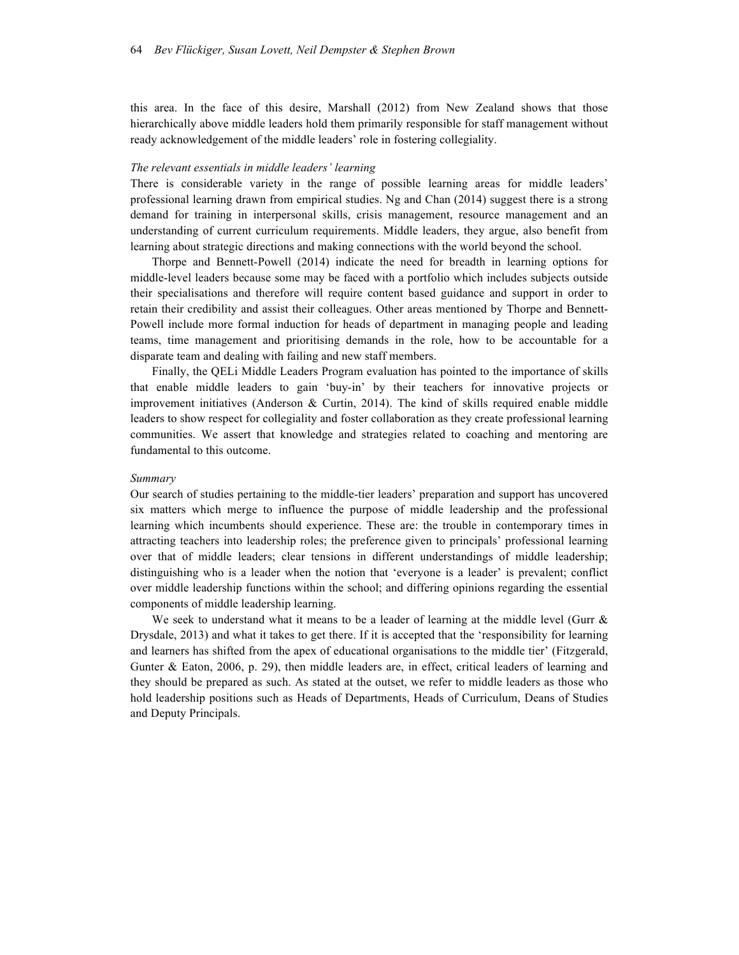this area. In the face of this desire, Marshall (2012) from New Zealand shows that those hierarchically above middle leaders hold them primarily responsible for staff management without ready acknowledgement of the middle leaders' role in fostering collegiality.

#### *The relevant essentials in middle leaders' learning*

There is considerable variety in the range of possible learning areas for middle leaders' professional learning drawn from empirical studies. Ng and Chan (2014) suggest there is a strong demand for training in interpersonal skills, crisis management, resource management and an understanding of current curriculum requirements. Middle leaders, they argue, also benefit from learning about strategic directions and making connections with the world beyond the school.

Thorpe and Bennett-Powell (2014) indicate the need for breadth in learning options for middle-level leaders because some may be faced with a portfolio which includes subjects outside their specialisations and therefore will require content based guidance and support in order to retain their credibility and assist their colleagues. Other areas mentioned by Thorpe and Bennett-Powell include more formal induction for heads of department in managing people and leading teams, time management and prioritising demands in the role, how to be accountable for a disparate team and dealing with failing and new staff members.

Finally, the QELi Middle Leaders Program evaluation has pointed to the importance of skills that enable middle leaders to gain 'buy-in' by their teachers for innovative projects or improvement initiatives (Anderson & Curtin, 2014). The kind of skills required enable middle leaders to show respect for collegiality and foster collaboration as they create professional learning communities. We assert that knowledge and strategies related to coaching and mentoring are fundamental to this outcome.

#### *Summary*

Our search of studies pertaining to the middle-tier leaders' preparation and support has uncovered six matters which merge to influence the purpose of middle leadership and the professional learning which incumbents should experience. These are: the trouble in contemporary times in attracting teachers into leadership roles; the preference given to principals' professional learning over that of middle leaders; clear tensions in different understandings of middle leadership; distinguishing who is a leader when the notion that 'everyone is a leader' is prevalent; conflict over middle leadership functions within the school; and differing opinions regarding the essential components of middle leadership learning.

We seek to understand what it means to be a leader of learning at the middle level (Gurr  $\&$ Drysdale, 2013) and what it takes to get there. If it is accepted that the 'responsibility for learning and learners has shifted from the apex of educational organisations to the middle tier' (Fitzgerald, Gunter & Eaton, 2006, p. 29), then middle leaders are, in effect, critical leaders of learning and they should be prepared as such. As stated at the outset, we refer to middle leaders as those who hold leadership positions such as Heads of Departments, Heads of Curriculum, Deans of Studies and Deputy Principals.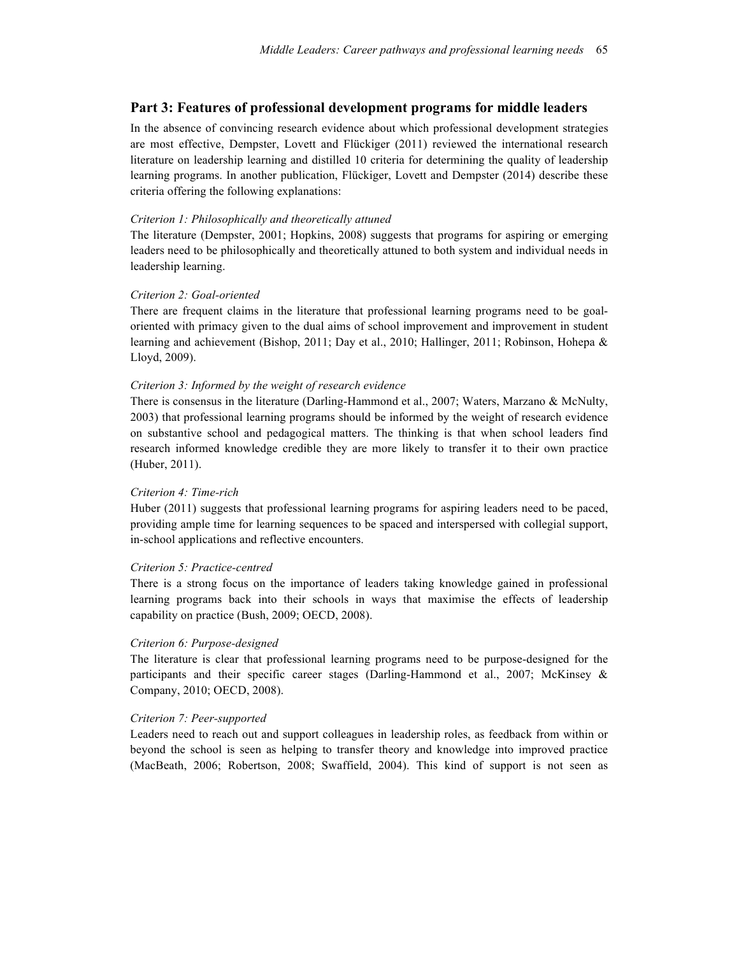#### **Part 3: Features of professional development programs for middle leaders**

In the absence of convincing research evidence about which professional development strategies are most effective, Dempster, Lovett and Flückiger (2011) reviewed the international research literature on leadership learning and distilled 10 criteria for determining the quality of leadership learning programs. In another publication, Flückiger, Lovett and Dempster (2014) describe these criteria offering the following explanations:

#### *Criterion 1: Philosophically and theoretically attuned*

The literature (Dempster, 2001; Hopkins, 2008) suggests that programs for aspiring or emerging leaders need to be philosophically and theoretically attuned to both system and individual needs in leadership learning.

#### *Criterion 2: Goal-oriented*

There are frequent claims in the literature that professional learning programs need to be goaloriented with primacy given to the dual aims of school improvement and improvement in student learning and achievement (Bishop, 2011; Day et al., 2010; Hallinger, 2011; Robinson, Hohepa & Lloyd, 2009).

#### *Criterion 3: Informed by the weight of research evidence*

There is consensus in the literature (Darling-Hammond et al., 2007; Waters, Marzano & McNulty, 2003) that professional learning programs should be informed by the weight of research evidence on substantive school and pedagogical matters. The thinking is that when school leaders find research informed knowledge credible they are more likely to transfer it to their own practice (Huber, 2011).

#### *Criterion 4: Time-rich*

Huber (2011) suggests that professional learning programs for aspiring leaders need to be paced, providing ample time for learning sequences to be spaced and interspersed with collegial support, in-school applications and reflective encounters.

#### *Criterion 5: Practice-centred*

There is a strong focus on the importance of leaders taking knowledge gained in professional learning programs back into their schools in ways that maximise the effects of leadership capability on practice (Bush, 2009; OECD, 2008).

#### *Criterion 6: Purpose-designed*

The literature is clear that professional learning programs need to be purpose-designed for the participants and their specific career stages (Darling-Hammond et al., 2007; McKinsey & Company, 2010; OECD, 2008).

#### *Criterion 7: Peer-supported*

Leaders need to reach out and support colleagues in leadership roles, as feedback from within or beyond the school is seen as helping to transfer theory and knowledge into improved practice (MacBeath, 2006; Robertson, 2008; Swaffield, 2004). This kind of support is not seen as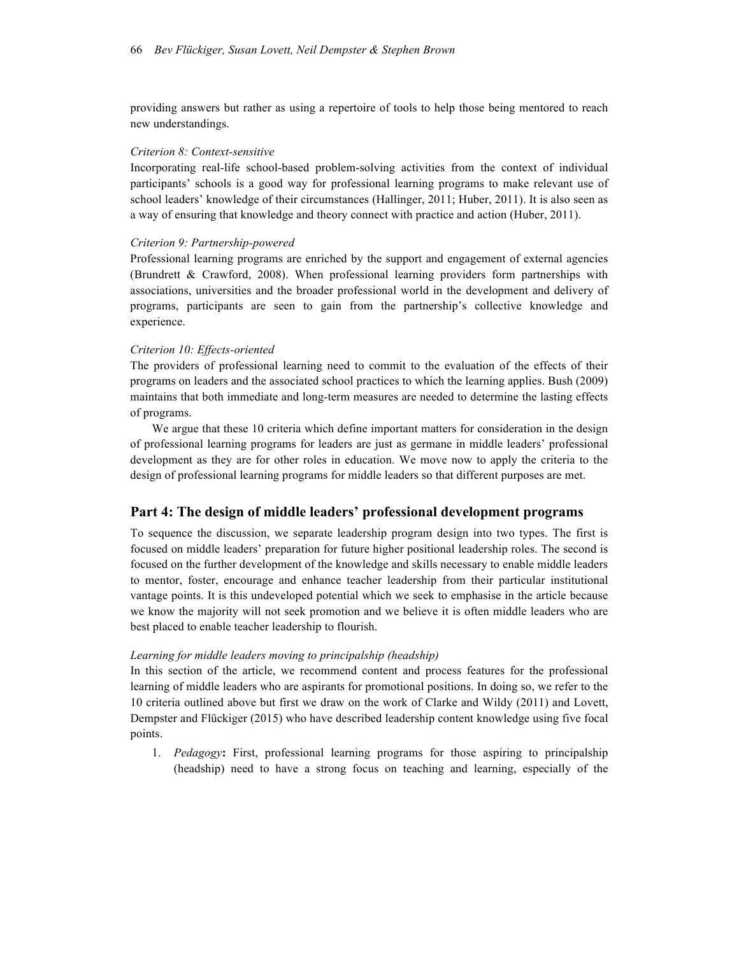providing answers but rather as using a repertoire of tools to help those being mentored to reach new understandings.

#### *Criterion 8: Context-sensitive*

Incorporating real-life school-based problem-solving activities from the context of individual participants' schools is a good way for professional learning programs to make relevant use of school leaders' knowledge of their circumstances (Hallinger, 2011; Huber, 2011). It is also seen as a way of ensuring that knowledge and theory connect with practice and action (Huber, 2011).

#### *Criterion 9: Partnership-powered*

Professional learning programs are enriched by the support and engagement of external agencies (Brundrett & Crawford, 2008). When professional learning providers form partnerships with associations, universities and the broader professional world in the development and delivery of programs, participants are seen to gain from the partnership's collective knowledge and experience.

#### *Criterion 10: Effects-oriented*

The providers of professional learning need to commit to the evaluation of the effects of their programs on leaders and the associated school practices to which the learning applies. Bush (2009) maintains that both immediate and long-term measures are needed to determine the lasting effects of programs.

We argue that these 10 criteria which define important matters for consideration in the design of professional learning programs for leaders are just as germane in middle leaders' professional development as they are for other roles in education. We move now to apply the criteria to the design of professional learning programs for middle leaders so that different purposes are met.

#### **Part 4: The design of middle leaders' professional development programs**

To sequence the discussion, we separate leadership program design into two types. The first is focused on middle leaders' preparation for future higher positional leadership roles. The second is focused on the further development of the knowledge and skills necessary to enable middle leaders to mentor, foster, encourage and enhance teacher leadership from their particular institutional vantage points. It is this undeveloped potential which we seek to emphasise in the article because we know the majority will not seek promotion and we believe it is often middle leaders who are best placed to enable teacher leadership to flourish.

#### *Learning for middle leaders moving to principalship (headship)*

In this section of the article, we recommend content and process features for the professional learning of middle leaders who are aspirants for promotional positions. In doing so, we refer to the 10 criteria outlined above but first we draw on the work of Clarke and Wildy (2011) and Lovett, Dempster and Flückiger (2015) who have described leadership content knowledge using five focal points.

1. *Pedagogy***:** First, professional learning programs for those aspiring to principalship (headship) need to have a strong focus on teaching and learning, especially of the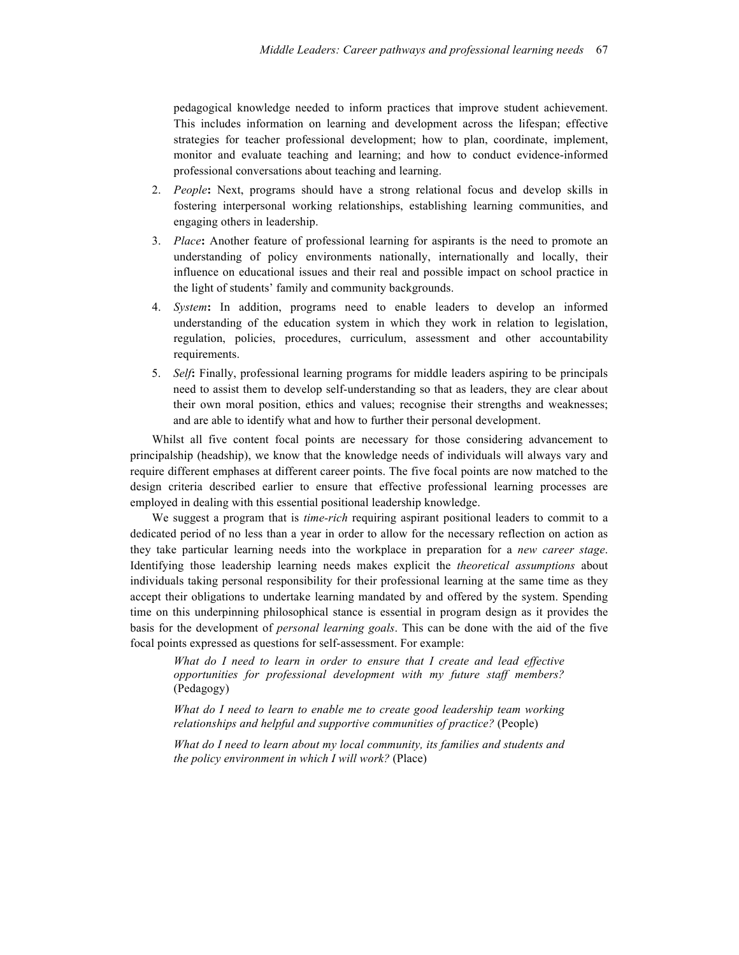pedagogical knowledge needed to inform practices that improve student achievement. This includes information on learning and development across the lifespan; effective strategies for teacher professional development; how to plan, coordinate, implement, monitor and evaluate teaching and learning; and how to conduct evidence-informed professional conversations about teaching and learning.

- 2. *People***:** Next, programs should have a strong relational focus and develop skills in fostering interpersonal working relationships, establishing learning communities, and engaging others in leadership.
- 3. *Place***:** Another feature of professional learning for aspirants is the need to promote an understanding of policy environments nationally, internationally and locally, their influence on educational issues and their real and possible impact on school practice in the light of students' family and community backgrounds.
- 4. *System***:** In addition, programs need to enable leaders to develop an informed understanding of the education system in which they work in relation to legislation, regulation, policies, procedures, curriculum, assessment and other accountability requirements.
- 5. *Self***:** Finally, professional learning programs for middle leaders aspiring to be principals need to assist them to develop self-understanding so that as leaders, they are clear about their own moral position, ethics and values; recognise their strengths and weaknesses; and are able to identify what and how to further their personal development.

Whilst all five content focal points are necessary for those considering advancement to principalship (headship), we know that the knowledge needs of individuals will always vary and require different emphases at different career points. The five focal points are now matched to the design criteria described earlier to ensure that effective professional learning processes are employed in dealing with this essential positional leadership knowledge.

We suggest a program that is *time-rich* requiring aspirant positional leaders to commit to a dedicated period of no less than a year in order to allow for the necessary reflection on action as they take particular learning needs into the workplace in preparation for a *new career stage*. Identifying those leadership learning needs makes explicit the *theoretical assumptions* about individuals taking personal responsibility for their professional learning at the same time as they accept their obligations to undertake learning mandated by and offered by the system. Spending time on this underpinning philosophical stance is essential in program design as it provides the basis for the development of *personal learning goals*. This can be done with the aid of the five focal points expressed as questions for self-assessment. For example:

*What do I need to learn in order to ensure that I create and lead effective opportunities for professional development with my future staff members?* (Pedagogy)

*What do I need to learn to enable me to create good leadership team working relationships and helpful and supportive communities of practice?* (People)

*What do I need to learn about my local community, its families and students and the policy environment in which I will work?* (Place)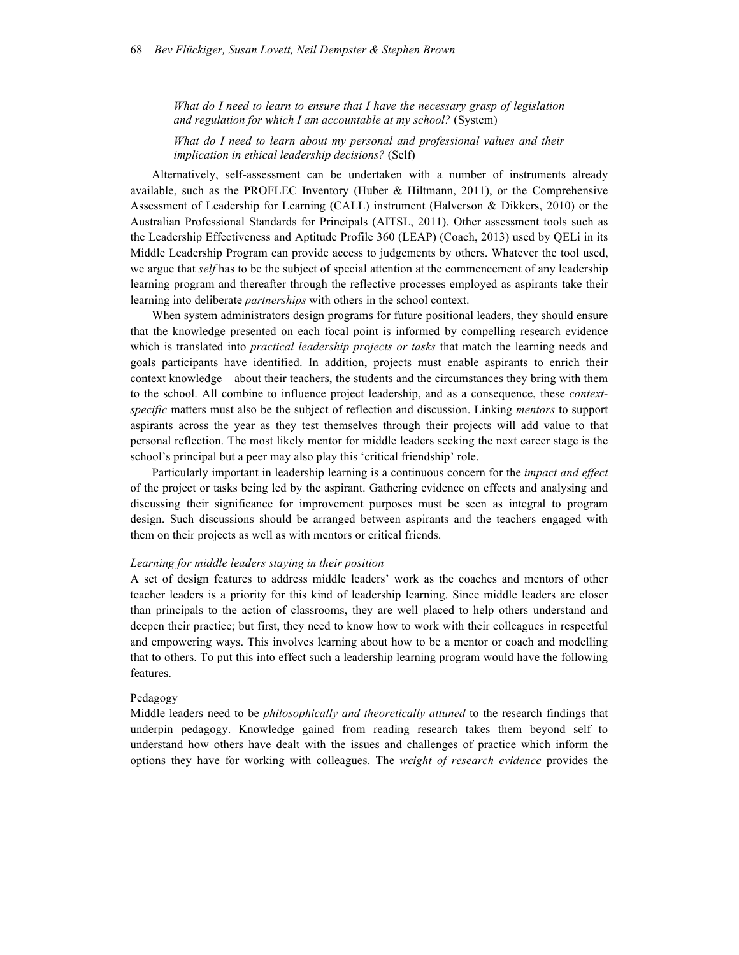*What do I need to learn to ensure that I have the necessary grasp of legislation and regulation for which I am accountable at my school?* (System)

*What do I need to learn about my personal and professional values and their implication in ethical leadership decisions?* (Self)

Alternatively, self-assessment can be undertaken with a number of instruments already available, such as the PROFLEC Inventory (Huber & Hiltmann, 2011), or the Comprehensive Assessment of Leadership for Learning (CALL) instrument (Halverson & Dikkers, 2010) or the Australian Professional Standards for Principals (AITSL, 2011). Other assessment tools such as the Leadership Effectiveness and Aptitude Profile 360 (LEAP) (Coach, 2013) used by QELi in its Middle Leadership Program can provide access to judgements by others. Whatever the tool used, we argue that *self* has to be the subject of special attention at the commencement of any leadership learning program and thereafter through the reflective processes employed as aspirants take their learning into deliberate *partnerships* with others in the school context.

When system administrators design programs for future positional leaders, they should ensure that the knowledge presented on each focal point is informed by compelling research evidence which is translated into *practical leadership projects or tasks* that match the learning needs and goals participants have identified. In addition, projects must enable aspirants to enrich their context knowledge – about their teachers, the students and the circumstances they bring with them to the school. All combine to influence project leadership, and as a consequence, these *contextspecific* matters must also be the subject of reflection and discussion. Linking *mentors* to support aspirants across the year as they test themselves through their projects will add value to that personal reflection. The most likely mentor for middle leaders seeking the next career stage is the school's principal but a peer may also play this 'critical friendship' role.

Particularly important in leadership learning is a continuous concern for the *impact and effect* of the project or tasks being led by the aspirant. Gathering evidence on effects and analysing and discussing their significance for improvement purposes must be seen as integral to program design. Such discussions should be arranged between aspirants and the teachers engaged with them on their projects as well as with mentors or critical friends.

#### *Learning for middle leaders staying in their position*

A set of design features to address middle leaders' work as the coaches and mentors of other teacher leaders is a priority for this kind of leadership learning. Since middle leaders are closer than principals to the action of classrooms, they are well placed to help others understand and deepen their practice; but first, they need to know how to work with their colleagues in respectful and empowering ways. This involves learning about how to be a mentor or coach and modelling that to others. To put this into effect such a leadership learning program would have the following features.

#### Pedagogy

Middle leaders need to be *philosophically and theoretically attuned* to the research findings that underpin pedagogy. Knowledge gained from reading research takes them beyond self to understand how others have dealt with the issues and challenges of practice which inform the options they have for working with colleagues. The *weight of research evidence* provides the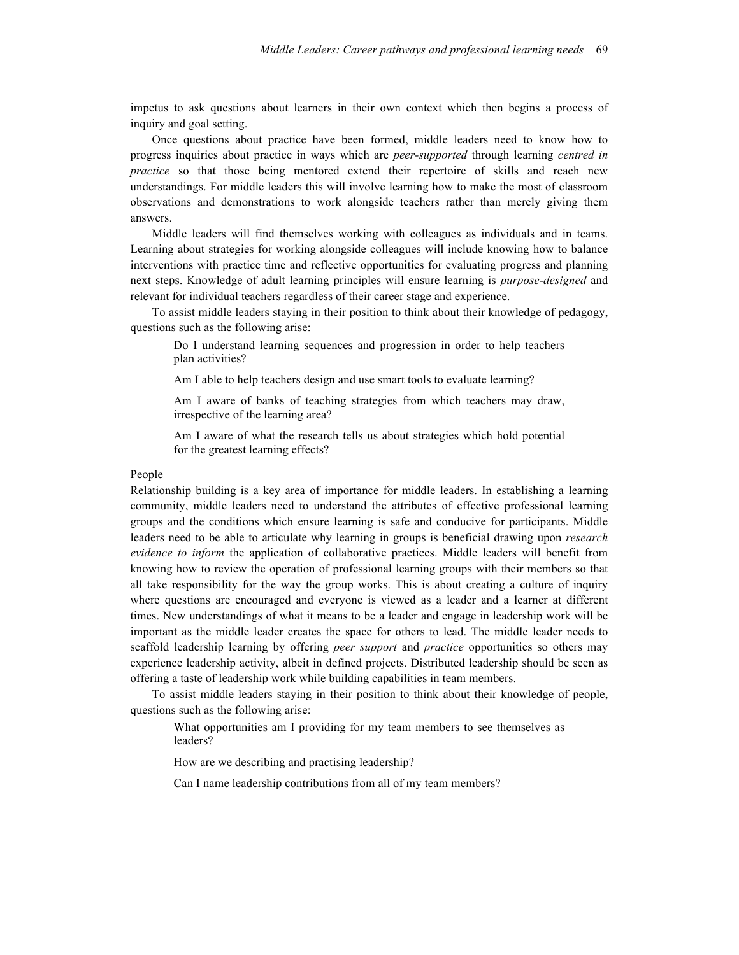impetus to ask questions about learners in their own context which then begins a process of inquiry and goal setting.

Once questions about practice have been formed, middle leaders need to know how to progress inquiries about practice in ways which are *peer-supported* through learning *centred in practice* so that those being mentored extend their repertoire of skills and reach new understandings. For middle leaders this will involve learning how to make the most of classroom observations and demonstrations to work alongside teachers rather than merely giving them answers.

Middle leaders will find themselves working with colleagues as individuals and in teams. Learning about strategies for working alongside colleagues will include knowing how to balance interventions with practice time and reflective opportunities for evaluating progress and planning next steps. Knowledge of adult learning principles will ensure learning is *purpose-designed* and relevant for individual teachers regardless of their career stage and experience.

To assist middle leaders staying in their position to think about their knowledge of pedagogy, questions such as the following arise:

Do I understand learning sequences and progression in order to help teachers plan activities?

Am I able to help teachers design and use smart tools to evaluate learning?

Am I aware of banks of teaching strategies from which teachers may draw, irrespective of the learning area?

Am I aware of what the research tells us about strategies which hold potential for the greatest learning effects?

#### People

Relationship building is a key area of importance for middle leaders. In establishing a learning community, middle leaders need to understand the attributes of effective professional learning groups and the conditions which ensure learning is safe and conducive for participants. Middle leaders need to be able to articulate why learning in groups is beneficial drawing upon *research evidence to inform* the application of collaborative practices. Middle leaders will benefit from knowing how to review the operation of professional learning groups with their members so that all take responsibility for the way the group works. This is about creating a culture of inquiry where questions are encouraged and everyone is viewed as a leader and a learner at different times. New understandings of what it means to be a leader and engage in leadership work will be important as the middle leader creates the space for others to lead. The middle leader needs to scaffold leadership learning by offering *peer support* and *practice* opportunities so others may experience leadership activity, albeit in defined projects. Distributed leadership should be seen as offering a taste of leadership work while building capabilities in team members.

To assist middle leaders staying in their position to think about their knowledge of people, questions such as the following arise:

What opportunities am I providing for my team members to see themselves as leaders?

How are we describing and practising leadership?

Can I name leadership contributions from all of my team members?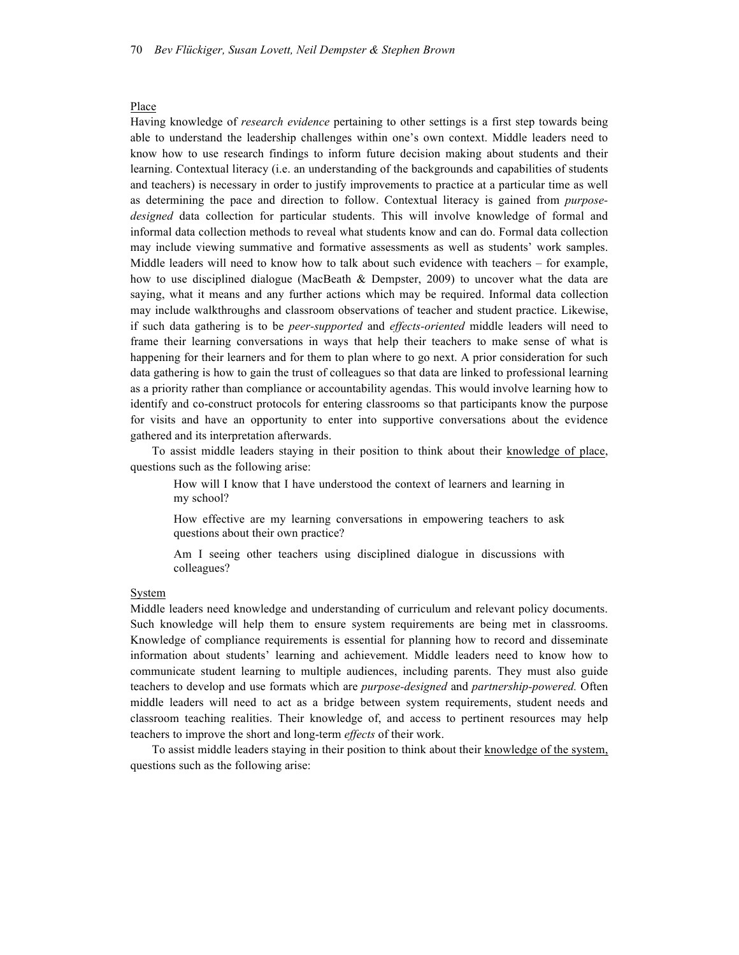#### Place

Having knowledge of *research evidence* pertaining to other settings is a first step towards being able to understand the leadership challenges within one's own context. Middle leaders need to know how to use research findings to inform future decision making about students and their learning. Contextual literacy (i.e. an understanding of the backgrounds and capabilities of students and teachers) is necessary in order to justify improvements to practice at a particular time as well as determining the pace and direction to follow. Contextual literacy is gained from *purposedesigned* data collection for particular students. This will involve knowledge of formal and informal data collection methods to reveal what students know and can do. Formal data collection may include viewing summative and formative assessments as well as students' work samples. Middle leaders will need to know how to talk about such evidence with teachers – for example, how to use disciplined dialogue (MacBeath & Dempster, 2009) to uncover what the data are saying, what it means and any further actions which may be required. Informal data collection may include walkthroughs and classroom observations of teacher and student practice. Likewise, if such data gathering is to be *peer-supported* and *effects-oriented* middle leaders will need to frame their learning conversations in ways that help their teachers to make sense of what is happening for their learners and for them to plan where to go next. A prior consideration for such data gathering is how to gain the trust of colleagues so that data are linked to professional learning as a priority rather than compliance or accountability agendas. This would involve learning how to identify and co-construct protocols for entering classrooms so that participants know the purpose for visits and have an opportunity to enter into supportive conversations about the evidence gathered and its interpretation afterwards.

To assist middle leaders staying in their position to think about their knowledge of place, questions such as the following arise:

How will I know that I have understood the context of learners and learning in my school?

How effective are my learning conversations in empowering teachers to ask questions about their own practice?

Am I seeing other teachers using disciplined dialogue in discussions with colleagues?

#### System

Middle leaders need knowledge and understanding of curriculum and relevant policy documents. Such knowledge will help them to ensure system requirements are being met in classrooms. Knowledge of compliance requirements is essential for planning how to record and disseminate information about students' learning and achievement. Middle leaders need to know how to communicate student learning to multiple audiences, including parents. They must also guide teachers to develop and use formats which are *purpose-designed* and *partnership-powered.* Often middle leaders will need to act as a bridge between system requirements, student needs and classroom teaching realities. Their knowledge of, and access to pertinent resources may help teachers to improve the short and long-term *effects* of their work.

To assist middle leaders staying in their position to think about their knowledge of the system, questions such as the following arise: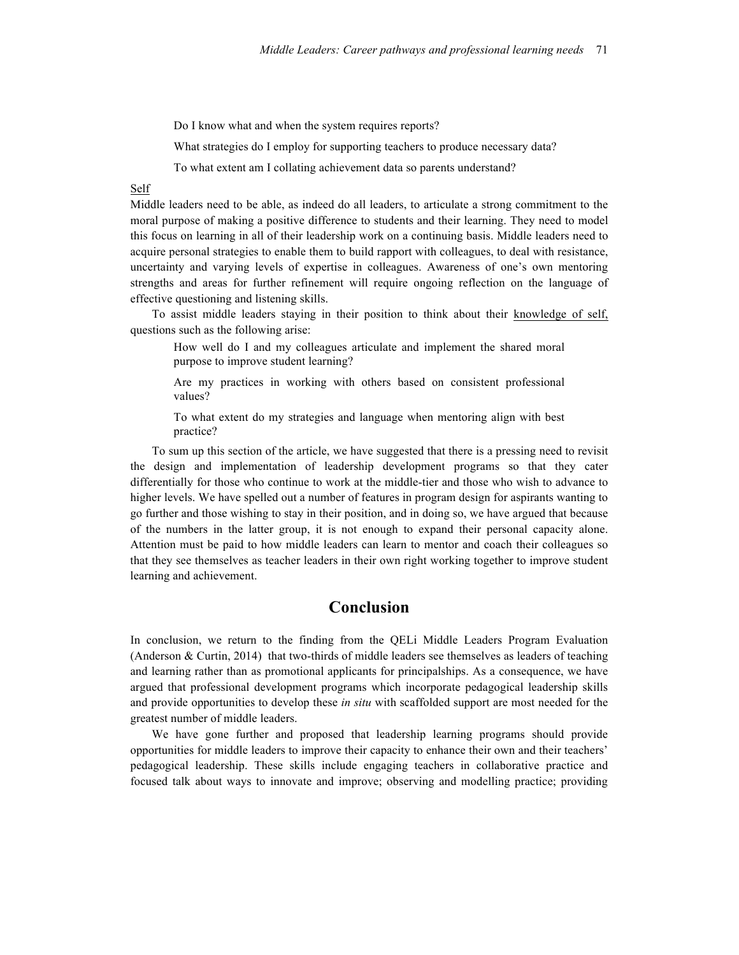Do I know what and when the system requires reports?

What strategies do I employ for supporting teachers to produce necessary data?

To what extent am I collating achievement data so parents understand?

#### Self

Middle leaders need to be able, as indeed do all leaders, to articulate a strong commitment to the moral purpose of making a positive difference to students and their learning. They need to model this focus on learning in all of their leadership work on a continuing basis. Middle leaders need to acquire personal strategies to enable them to build rapport with colleagues, to deal with resistance, uncertainty and varying levels of expertise in colleagues. Awareness of one's own mentoring strengths and areas for further refinement will require ongoing reflection on the language of effective questioning and listening skills.

To assist middle leaders staying in their position to think about their knowledge of self, questions such as the following arise:

How well do I and my colleagues articulate and implement the shared moral purpose to improve student learning?

Are my practices in working with others based on consistent professional values?

To what extent do my strategies and language when mentoring align with best practice?

To sum up this section of the article, we have suggested that there is a pressing need to revisit the design and implementation of leadership development programs so that they cater differentially for those who continue to work at the middle-tier and those who wish to advance to higher levels. We have spelled out a number of features in program design for aspirants wanting to go further and those wishing to stay in their position, and in doing so, we have argued that because of the numbers in the latter group, it is not enough to expand their personal capacity alone. Attention must be paid to how middle leaders can learn to mentor and coach their colleagues so that they see themselves as teacher leaders in their own right working together to improve student learning and achievement.

## **Conclusion**

In conclusion, we return to the finding from the QELi Middle Leaders Program Evaluation (Anderson & Curtin, 2014) that two-thirds of middle leaders see themselves as leaders of teaching and learning rather than as promotional applicants for principalships. As a consequence, we have argued that professional development programs which incorporate pedagogical leadership skills and provide opportunities to develop these *in situ* with scaffolded support are most needed for the greatest number of middle leaders.

We have gone further and proposed that leadership learning programs should provide opportunities for middle leaders to improve their capacity to enhance their own and their teachers' pedagogical leadership. These skills include engaging teachers in collaborative practice and focused talk about ways to innovate and improve; observing and modelling practice; providing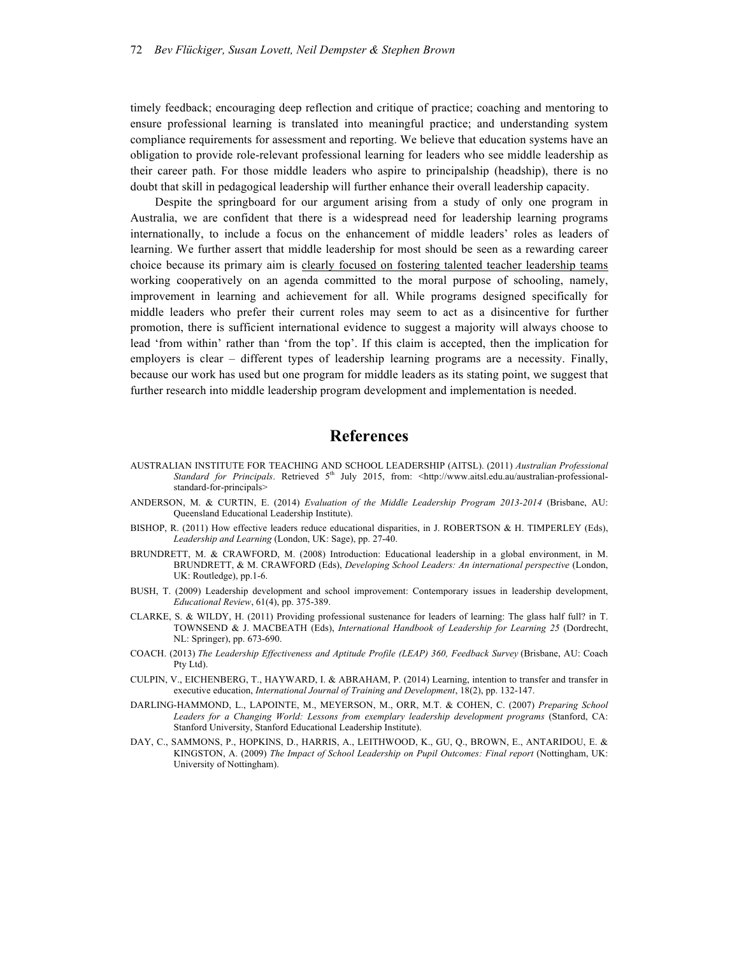timely feedback; encouraging deep reflection and critique of practice; coaching and mentoring to ensure professional learning is translated into meaningful practice; and understanding system compliance requirements for assessment and reporting. We believe that education systems have an obligation to provide role-relevant professional learning for leaders who see middle leadership as their career path. For those middle leaders who aspire to principalship (headship), there is no doubt that skill in pedagogical leadership will further enhance their overall leadership capacity.

Despite the springboard for our argument arising from a study of only one program in Australia, we are confident that there is a widespread need for leadership learning programs internationally, to include a focus on the enhancement of middle leaders' roles as leaders of learning. We further assert that middle leadership for most should be seen as a rewarding career choice because its primary aim is clearly focused on fostering talented teacher leadership teams working cooperatively on an agenda committed to the moral purpose of schooling, namely, improvement in learning and achievement for all. While programs designed specifically for middle leaders who prefer their current roles may seem to act as a disincentive for further promotion, there is sufficient international evidence to suggest a majority will always choose to lead 'from within' rather than 'from the top'. If this claim is accepted, then the implication for employers is clear – different types of leadership learning programs are a necessity. Finally, because our work has used but one program for middle leaders as its stating point, we suggest that further research into middle leadership program development and implementation is needed.

### **References**

- AUSTRALIAN INSTITUTE FOR TEACHING AND SCHOOL LEADERSHIP (AITSL). (2011) *Australian Professional*  Standard for Principals. Retrieved 5<sup>th</sup> July 2015, from: <http://www.aitsl.edu.au/australian-professionalstandard-for-principals>
- ANDERSON, M. & CURTIN, E. (2014) *Evaluation of the Middle Leadership Program 2013-2014* (Brisbane, AU: Queensland Educational Leadership Institute).
- BISHOP, R. (2011) How effective leaders reduce educational disparities, in J. ROBERTSON & H. TIMPERLEY (Eds), *Leadership and Learning* (London, UK: Sage), pp. 27-40.
- BRUNDRETT, M. & CRAWFORD, M. (2008) Introduction: Educational leadership in a global environment, in M. BRUNDRETT, & M. CRAWFORD (Eds), *Developing School Leaders: An international perspective* (London, UK: Routledge), pp.1-6.
- BUSH, T. (2009) Leadership development and school improvement: Contemporary issues in leadership development, *Educational Review*, 61(4), pp. 375-389.
- CLARKE, S. & WILDY, H. (2011) Providing professional sustenance for leaders of learning: The glass half full? in T. TOWNSEND & J. MACBEATH (Eds), *International Handbook of Leadership for Learning 25* (Dordrecht, NL: Springer), pp. 673-690.
- COACH. (2013) *The Leadership Effectiveness and Aptitude Profile (LEAP) 360, Feedback Survey* (Brisbane, AU: Coach Pty Ltd).
- CULPIN, V., EICHENBERG, T., HAYWARD, I. & ABRAHAM, P. (2014) Learning, intention to transfer and transfer in executive education, *International Journal of Training and Development*, 18(2), pp. 132-147.
- DARLING-HAMMOND, L., LAPOINTE, M., MEYERSON, M., ORR, M.T. & COHEN, C. (2007) *Preparing School Leaders for a Changing World: Lessons from exemplary leadership development programs* (Stanford, CA: Stanford University, Stanford Educational Leadership Institute).
- DAY, C., SAMMONS, P., HOPKINS, D., HARRIS, A., LEITHWOOD, K., GU, Q., BROWN, E., ANTARIDOU, E. & KINGSTON, A. (2009) The Impact of School Leadership on Pupil Outcomes: Final report (Nottingham, UK: University of Nottingham).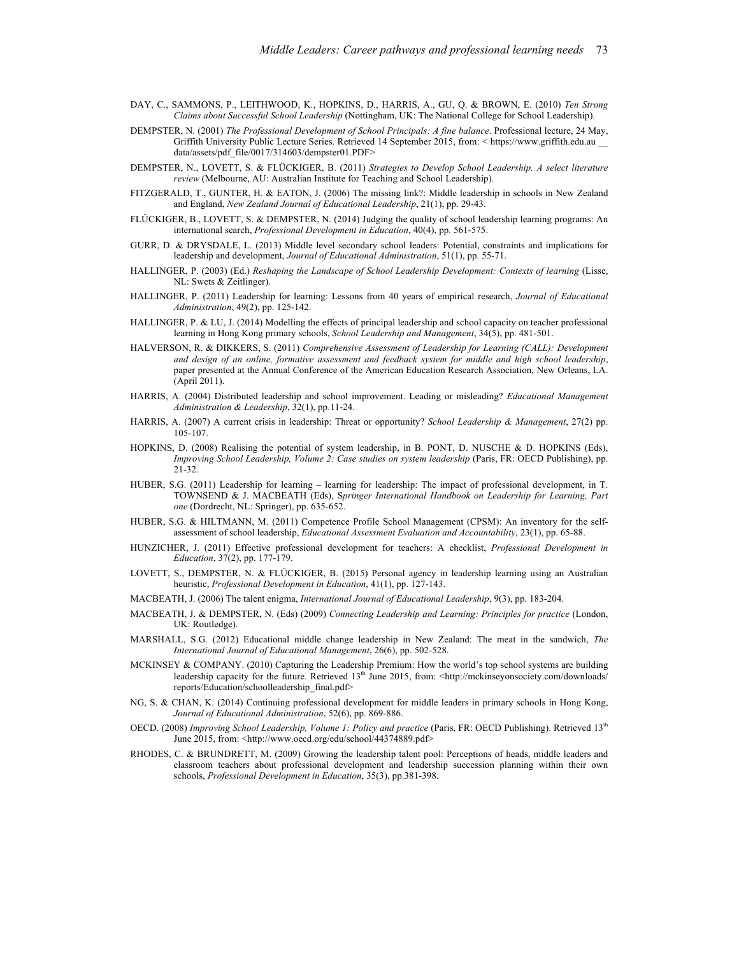- DAY, C., SAMMONS, P., LEITHWOOD, K., HOPKINS, D., HARRIS, A., GU, Q. & BROWN, E. (2010) *Ten Strong Claims about Successful School Leadership* (Nottingham, UK: The National College for School Leadership).
- DEMPSTER, N. (2001) *The Professional Development of School Principals: A fine balance*. Professional lecture, 24 May, Griffith University Public Lecture Series. Retrieved 14 September 2015, from: < https://www.griffith.edu.au data/assets/pdf\_file/0017/314603/dempster01.PDF>
- DEMPSTER, N., LOVETT, S. & FLÜCKIGER, B. (2011) *Strategies to Develop School Leadership. A select literature review* (Melbourne, AU: Australian Institute for Teaching and School Leadership).
- FITZGERALD, T., GUNTER, H. & EATON, J. (2006) The missing link?: Middle leadership in schools in New Zealand and England, *New Zealand Journal of Educational Leadership*, 21(1), pp. 29-43.
- FLÜCKIGER, B., LOVETT, S. & DEMPSTER, N. (2014) Judging the quality of school leadership learning programs: An international search, *Professional Development in Education*, 40(4), pp. 561-575.
- GURR, D. & DRYSDALE, L. (2013) Middle level secondary school leaders: Potential, constraints and implications for leadership and development, *Journal of Educational Administration*, 51(1), pp. 55-71.
- HALLINGER, P. (2003) (Ed.) *Reshaping the Landscape of School Leadership Development: Contexts of learning* (Lisse, NL: Swets & Zeitlinger).
- HALLINGER, P. (2011) Leadership for learning: Lessons from 40 years of empirical research, *Journal of Educational Administration*, 49(2), pp. 125-142.
- HALLINGER, P. & LU, J. (2014) Modelling the effects of principal leadership and school capacity on teacher professional learning in Hong Kong primary schools, *School Leadership and Management*, 34(5), pp. 481-501.
- HALVERSON, R. & DIKKERS, S. (2011) *Comprehensive Assessment of Leadership for Learning (CALL): Development and design of an online, formative assessment and feedback system for middle and high school leadership*, paper presented at the Annual Conference of the American Education Research Association, New Orleans, LA. (April 2011).
- HARRIS, A. (2004) Distributed leadership and school improvement. Leading or misleading? *Educational Management Administration & Leadership*, 32(1), pp.11-24.
- HARRIS, A. (2007) A current crisis in leadership: Threat or opportunity? *School Leadership & Management*, 27(2) pp. 105-107.
- HOPKINS, D. (2008) Realising the potential of system leadership, in B. PONT, D. NUSCHE & D. HOPKINS (Eds), *Improving School Leadership, Volume 2: Case studies on system leadership* (Paris, FR: OECD Publishing), pp. 21-32.
- HUBER, S.G. (2011) Leadership for learning learning for leadership: The impact of professional development, in T. TOWNSEND & J. MACBEATH (Eds), S*pringer International Handbook on Leadership for Learning, Part one* (Dordrecht, NL: Springer), pp. 635-652.
- HUBER, S.G. & HILTMANN, M. (2011) Competence Profile School Management (CPSM): An inventory for the selfassessment of school leadership, *Educational Assessment Evaluation and Accountability*, 23(1), pp. 65-88.
- HUNZICHER, J. (2011) Effective professional development for teachers: A checklist, *Professional Development in Education*, 37(2), pp. 177-179.
- LOVETT, S., DEMPSTER, N. & FLÜCKIGER, B. (2015) Personal agency in leadership learning using an Australian heuristic, *Professional Development in Education*, 41(1), pp. 127-143.
- MACBEATH, J. (2006) The talent enigma, *International Journal of Educational Leadership*, 9(3), pp. 183-204.
- MACBEATH, J. & DEMPSTER, N. (Eds) (2009) *Connecting Leadership and Learning: Principles for practice* (London, UK: Routledge).
- MARSHALL, S.G. (2012) Educational middle change leadership in New Zealand: The meat in the sandwich, *The International Journal of Educational Management*, 26(6), pp. 502-528.
- MCKINSEY & COMPANY. (2010) Capturing the Leadership Premium: How the world's top school systems are building leadership capacity for the future. Retrieved 13<sup>th</sup> June 2015, from: <http://mckinseyonsociety.com/downloads/ reports/Education/schoolleadership\_final.pdf>
- NG, S. & CHAN, K. (2014) Continuing professional development for middle leaders in primary schools in Hong Kong, *Journal of Educational Administration*, 52(6), pp. 869-886.
- OECD. (2008) *Improving School Leadership, Volume 1: Policy and practice* (Paris, FR: OECD Publishing). Retrieved 13th June 2015, from: <http://www.oecd.org/edu/school/44374889.pdf>
- RHODES, C. & BRUNDRETT, M. (2009) Growing the leadership talent pool: Perceptions of heads, middle leaders and classroom teachers about professional development and leadership succession planning within their own schools, *Professional Development in Education*, 35(3), pp.381-398.